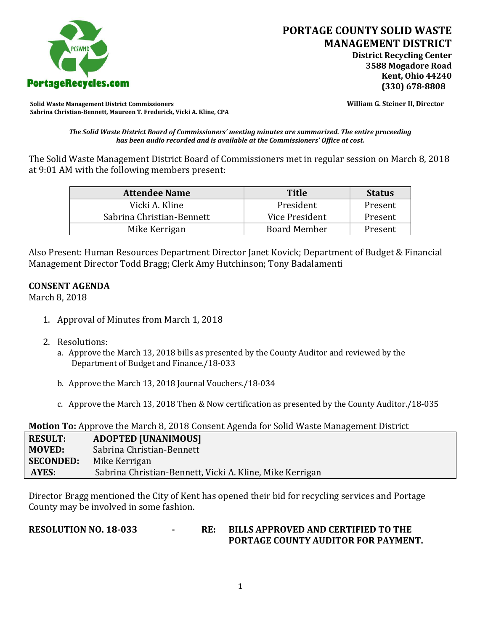

**Solid Waste Management District Commissioners William G. Steiner II, Director Sabrina Christian-Bennett, Maureen T. Frederick, Vicki A. Kline, CPA**

*The Solid Waste District Board of Commissioners' meeting minutes are summarized. The entire proceeding has been audio recorded and is available at the Commissioners' Office at cost.*

The Solid Waste Management District Board of Commissioners met in regular session on March 8, 2018 at 9:01 AM with the following members present:

| <b>Attendee Name</b>      | <b>Title</b>        | <b>Status</b> |
|---------------------------|---------------------|---------------|
| Vicki A. Kline            | President           | Present       |
| Sabrina Christian-Bennett | Vice President      | Present       |
| Mike Kerrigan             | <b>Board Member</b> | Present       |

Also Present: Human Resources Department Director Janet Kovick; Department of Budget & Financial Management Director Todd Bragg; Clerk Amy Hutchinson; Tony Badalamenti

## **CONSENT AGENDA**

March 8, 2018

- 1. Approval of Minutes from March 1, 2018
- 2. Resolutions:
	- a. Approve the March 13, 2018 bills as presented by the County Auditor and reviewed by the Department of Budget and Finance./18-033
	- b. Approve the March 13, 2018 Journal Vouchers./18-034
	- c. Approve the March 13, 2018 Then & Now certification as presented by the County Auditor./18-035

**Motion To:** Approve the March 8, 2018 Consent Agenda for Solid Waste Management District

| <b>RESULT:</b>   | <b>ADOPTED [UNANIMOUS]</b>                               |
|------------------|----------------------------------------------------------|
| <b>MOVED:</b>    | Sabrina Christian-Bennett                                |
| <b>SECONDED:</b> | Mike Kerrigan                                            |
| AYES:            | Sabrina Christian-Bennett, Vicki A. Kline, Mike Kerrigan |

Director Bragg mentioned the City of Kent has opened their bid for recycling services and Portage County may be involved in some fashion.

**RESOLUTION NO. 18-033 - RE: BILLS APPROVED AND CERTIFIED TO THE PORTAGE COUNTY AUDITOR FOR PAYMENT.**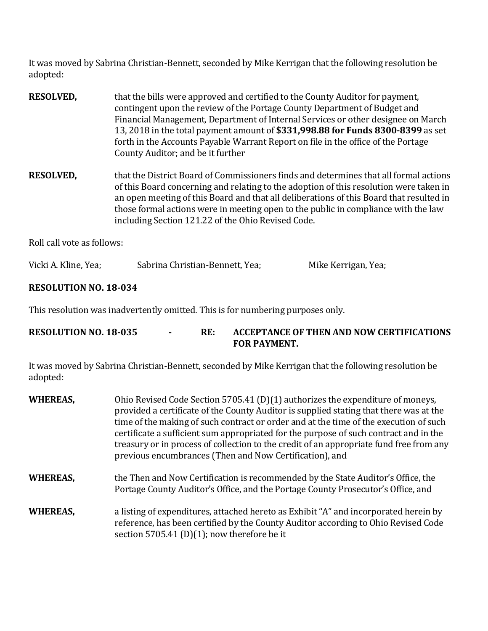It was moved by Sabrina Christian-Bennett, seconded by Mike Kerrigan that the following resolution be adopted:

| <b>RESOLVED,</b> | that the bills were approved and certified to the County Auditor for payment,<br>contingent upon the review of the Portage County Department of Budget and<br>Financial Management, Department of Internal Services or other designee on March<br>13, 2018 in the total payment amount of \$331,998.88 for Funds 8300-8399 as set<br>forth in the Accounts Payable Warrant Report on file in the office of the Portage<br>County Auditor; and be it further |
|------------------|-------------------------------------------------------------------------------------------------------------------------------------------------------------------------------------------------------------------------------------------------------------------------------------------------------------------------------------------------------------------------------------------------------------------------------------------------------------|
| <b>RESOLVED,</b> | that the District Board of Commissioners finds and determines that all formal actions<br>of this Board concerning and relating to the adoption of this resolution were taken in<br>an open meeting of this Board and that all deliberations of this Board that resulted in<br>those formal actions were in meeting open to the public in compliance with the law<br>including Section 121.22 of the Ohio Revised Code.                                      |

Roll call vote as follows:

| Vicki A. Kline, Yea; | Sabrina Christian-Bennett, Yea; | Mike Kerrigan, Yea; |
|----------------------|---------------------------------|---------------------|
|----------------------|---------------------------------|---------------------|

## **RESOLUTION NO. 18-034**

This resolution was inadvertently omitted. This is for numbering purposes only.

| <b>RESOLUTION NO. 18-035</b> | RE: | ACCEPTANCE OF THEN AND NOW CERTIFICATIONS |
|------------------------------|-----|-------------------------------------------|
|                              |     | <b>FOR PAYMENT.</b>                       |

It was moved by Sabrina Christian-Bennett, seconded by Mike Kerrigan that the following resolution be adopted:

| <b>WHEREAS,</b> | Ohio Revised Code Section 5705.41 (D)(1) authorizes the expenditure of moneys,<br>provided a certificate of the County Auditor is supplied stating that there was at the<br>time of the making of such contract or order and at the time of the execution of such<br>certificate a sufficient sum appropriated for the purpose of such contract and in the<br>treasury or in process of collection to the credit of an appropriate fund free from any<br>previous encumbrances (Then and Now Certification), and |
|-----------------|------------------------------------------------------------------------------------------------------------------------------------------------------------------------------------------------------------------------------------------------------------------------------------------------------------------------------------------------------------------------------------------------------------------------------------------------------------------------------------------------------------------|
| <b>WHEREAS,</b> | the Then and Now Certification is recommended by the State Auditor's Office, the<br>Portage County Auditor's Office, and the Portage County Prosecutor's Office, and                                                                                                                                                                                                                                                                                                                                             |
| <b>WHEREAS,</b> | a listing of expenditures, attached hereto as Exhibit "A" and incorporated herein by<br>reference, has been certified by the County Auditor according to Ohio Revised Code<br>section 5705.41 (D)(1); now therefore be it                                                                                                                                                                                                                                                                                        |